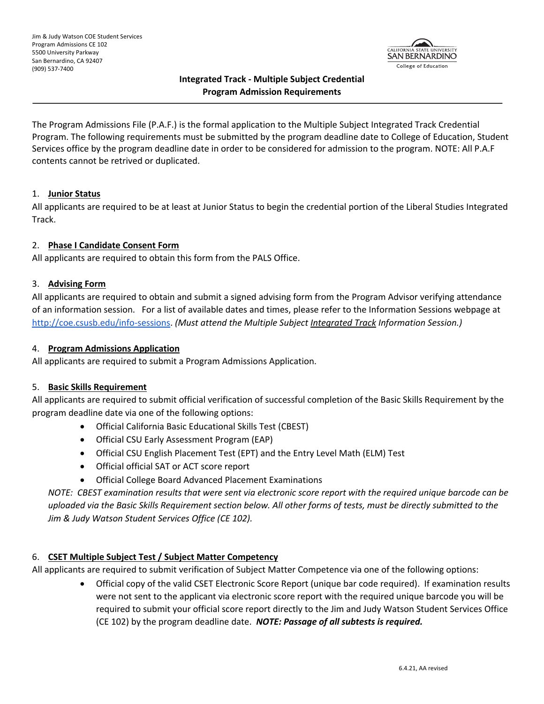

# **Integrated Track - Multiple Subject Credential Program Admission Requirements**

The Program Admissions File (P.A.F.) is the formal application to the Multiple Subject Integrated Track Credential Program. The following requirements must be submitted by the program deadline date to College of Education, Student Services office by the program deadline date in order to be considered for admission to the program. NOTE: All P.A.F contents cannot be retrived or duplicated.

#### 1. **Junior Status**

All applicants are required to be at least at Junior Status to begin the credential portion of the Liberal Studies Integrated Track.

## 2. **Phase I Candidate Consent Form**

All applicants are required to obtain this form from the PALS Office.

#### 3. **Advising Form**

All applicants are required to obtain and submit a signed advising form from the Program Advisor verifying attendance of an information session. For a list of available dates and times, please refer to the Information Sessions webpage at http://coe.csusb.edu/info-sessions. *(Must attend the Multiple Subject Integrated Track Information Session.)*

#### 4. **Program Admissions Application**

All applicants are required to submit a Program Admissions Application.

## 5. **Basic Skills Requirement**

All applicants are required to submit official verification of successful completion of the Basic Skills Requirement by the program deadline date via one of the following options:

- Official California Basic Educational Skills Test (CBEST)
- Official CSU Early Assessment Program (EAP)
- Official CSU English Placement Test (EPT) and the Entry Level Math (ELM) Test
- Official official SAT or ACT score report
- Official College Board Advanced Placement Examinations

*NOTE: CBEST examination results that were sent via electronic score report with the required unique barcode can be uploaded via the Basic Skills Requirement section below. All other forms of tests, must be directly submitted to the Jim & Judy Watson Student Services Office (CE 102).*

## 6. **CSET Multiple Subject Test / Subject Matter Competency**

All applicants are required to submit verification of Subject Matter Competence via one of the following options:

• Official copy of the valid CSET Electronic Score Report (unique bar code required). If examination results were not sent to the applicant via electronic score report with the required unique barcode you will be required to submit your official score report directly to the Jim and Judy Watson Student Services Office (CE 102) by the program deadline date. *NOTE: Passage of all subtests is required.*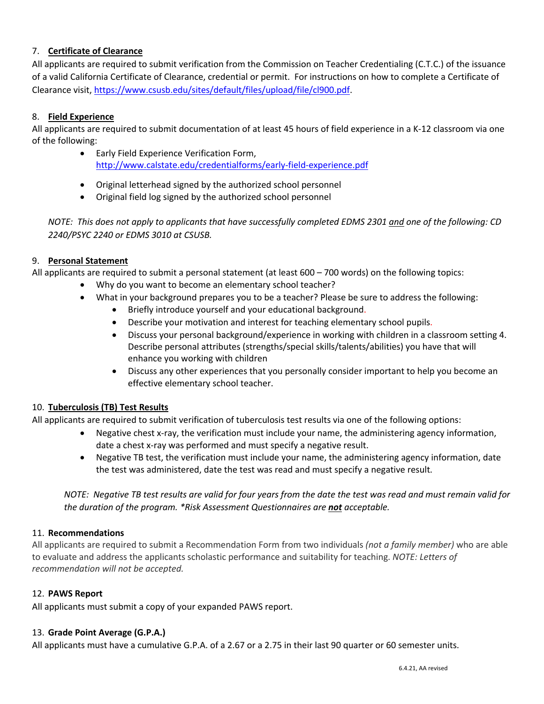# 7. **Certificate of Clearance**

All applicants are required to submit verification from the Commission on Teacher Credentialing (C.T.C.) of the issuance of a valid California Certificate of Clearance, credential or permit. For instructions on how to complete a Certificate of Clearance visit, https://www.csusb.edu/sites/default/files/upload/file/cl900.pdf.

## 8. **Field Experience**

All applicants are required to submit documentation of at least 45 hours of field experience in a K-12 classroom via one of the following:

- Early Field Experience Verification Form, http://www.calstate.edu/credentialforms/early-field-experience.pdf
- Original letterhead signed by the authorized school personnel
- Original field log signed by the authorized school personnel

*NOTE: This does not apply to applicants that have successfully completed EDMS 2301 and one of the following: CD 2240/PSYC 2240 or EDMS 3010 at CSUSB.*

## 9. **Personal Statement**

All applicants are required to submit a personal statement (at least 600 – 700 words) on the following topics:

- Why do you want to become an elementary school teacher?
- What in your background prepares you to be a teacher? Please be sure to address the following:
	- Briefly introduce yourself and your educational background.
	- Describe your motivation and interest for teaching elementary school pupils.
	- Discuss your personal background/experience in working with children in a classroom setting 4. Describe personal attributes (strengths/special skills/talents/abilities) you have that will enhance you working with children
	- Discuss any other experiences that you personally consider important to help you become an effective elementary school teacher.

## 10. **Tuberculosis (TB) Test Results**

All applicants are required to submit verification of tuberculosis test results via one of the following options:

- Negative chest x-ray, the verification must include your name, the administering agency information, date a chest x-ray was performed and must specify a negative result.
- Negative TB test, the verification must include your name, the administering agency information, date the test was administered, date the test was read and must specify a negative result.

*NOTE: Negative TB test results are valid for four years from the date the test was read and must remain valid for the duration of the program. \*Risk Assessment Questionnaires are not acceptable.*

## 11. **Recommendations**

All applicants are required to submit a Recommendation Form from two individuals *(not a family member)* who are able to evaluate and address the applicants scholastic performance and suitability for teaching. *NOTE: Letters of recommendation will not be accepted.*

## 12. **PAWS Report**

All applicants must submit a copy of your expanded PAWS report.

#### 13. **Grade Point Average (G.P.A.)**

All applicants must have a cumulative G.P.A. of a 2.67 or a 2.75 in their last 90 quarter or 60 semester units.